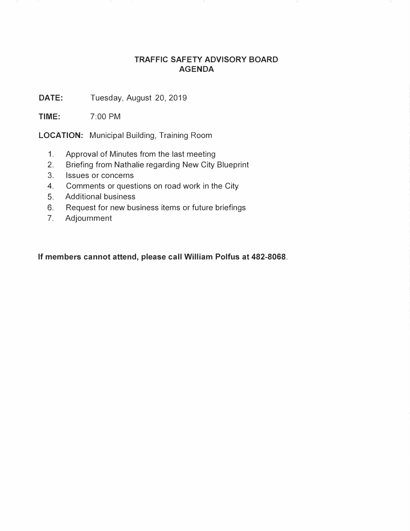## **TRAFFIC SAFETY ADVISORY BOARD AGENDA**

DATE: Tuesday, August 20, 2019

**TIME:** 7:00 PM

**LOCATION:** Municipal Building, Training Room

- 1. Approval of Minutes from the last meeting
- 2. Briefing from Nathalie regarding New City Blueprint
- 3. Issues or concerns
- 4. Comments or questions on road work in the City
- 5. Additional business
- 6. Request for new business items or future briefings
- 7. Adjournment

**If members cannot attend, please call William Polfus at 482-8068.**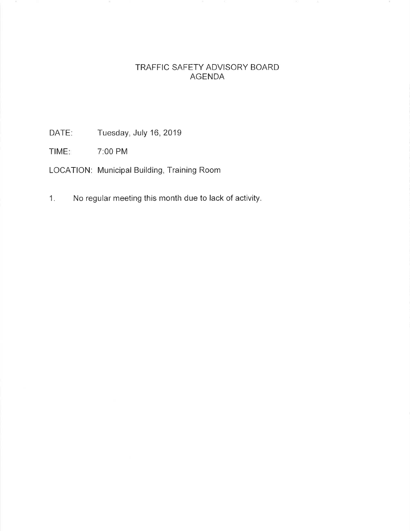## TRAFFIC SAFETY ADVISORY BOARD AGENDA

DATE: Tuesday, July 16, 2019

TIME: 7:00 PM

LOCATION: Municipal Building, Training Room

1. No regular meeting this month due to lack of activity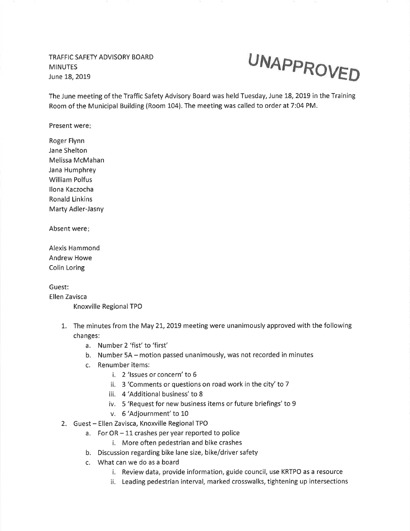TRAFFIC SAFETY ADVISORY BOARD MINUTES June 18, 2019



The June meeting of the Traffic Safety Advisory Board was held Tuesday, June 18, 2019 in the Training Room of the Municipal Building (Room 104). The meeting was called to order at 7:04 PM.

Present were

Roger Flynn Jane Shelton Melissa McMahan Jana Humphrey William Polfus llona Kaczocha Ronald Linkins Marty Adler-Jasny

Absent were

Alexis Hammond Andrew Howe Colin Loring

Guest:

Ellen Zavisca Knoxville Regional TPO

- 1.. The minutes from the May 21.,2019 meeting were unanimously approved with the following changes:
	- a. Number 2'fist' to 'first'
	- b. Number 5A motion passed unanimously, was not recorded in minutes
	- c. Renumber items:
		- i. 2 'lssues or concern' to <sup>6</sup>
		- ii.  $\,$  3 'Comments or questions on road work in the city' to 7
		- iii. 4 'Additional business' to 8
		- iv. 5 'Request for new business items or future briefings' to <sup>9</sup>
		- v. 6 'Adjournment' to 10
- 2. Guest Ellen Zavisca, Knoxville Regional TPO
	- a. For  $OR 11$  crashes per year reported to police
		- i. More often pedestrian and bike crashes
	- b. Discussion regarding bike lane size, bike/driver safety
	- c. What can we do as a board
		- i. Review data, provide information, guide council, use KRTPO as a resource
		- ii. Leading pedestrian interval, marked crosswalks, tightening up intersections